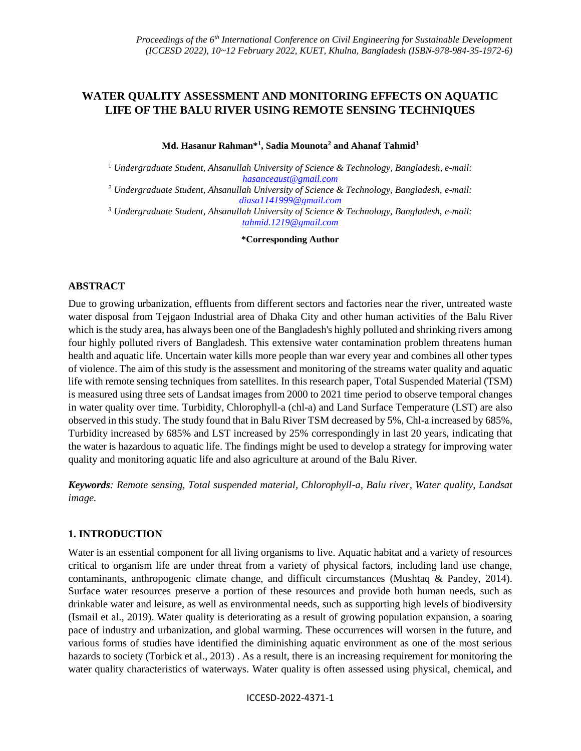# **WATER QUALITY ASSESSMENT AND MONITORING EFFECTS ON AQUATIC LIFE OF THE BALU RIVER USING REMOTE SENSING TECHNIQUES**

**Md. Hasanur Rahman\*<sup>1</sup> , Sadia Mounota<sup>2</sup> and Ahanaf Tahmid<sup>3</sup>**

<sup>1</sup> *Undergraduate Student, Ahsanullah University of Science & Technology, Bangladesh, e-mail: [hasanceaust@gmail.com](mailto:hasanceaust@gmail.com)*

*<sup>2</sup> Undergraduate Student, Ahsanullah University of Science & Technology, Bangladesh, e-mail: [diasa1141999@gmail.com](mailto:diasa1141999@gmail.com)*

*<sup>3</sup> Undergraduate Student, Ahsanullah University of Science & Technology, Bangladesh, e-mail: [tahmid.1219@gmail.com](mailto:tahmid.1219@gmail.com)*

**\*Corresponding Author**

#### **ABSTRACT**

Due to growing urbanization, effluents from different sectors and factories near the river, untreated waste water disposal from Tejgaon Industrial area of Dhaka City and other human activities of the Balu River which is the study area, has always been one of the Bangladesh's highly polluted and shrinking rivers among four highly polluted rivers of Bangladesh. This extensive water contamination problem threatens human health and aquatic life. Uncertain water kills more people than war every year and combines all other types of violence. The aim of this study is the assessment and monitoring of the streams water quality and aquatic life with remote sensing techniques from satellites. In this research paper, Total Suspended Material (TSM) is measured using three sets of Landsat images from 2000 to 2021 time period to observe temporal changes in water quality over time. Turbidity, Chlorophyll-a (chl-a) and Land Surface Temperature (LST) are also observed in this study. The study found that in Balu River TSM decreased by 5%, Chl-a increased by 685%, Turbidity increased by 685% and LST increased by 25% correspondingly in last 20 years, indicating that the water is hazardous to aquatic life. The findings might be used to develop a strategy for improving water quality and monitoring aquatic life and also agriculture at around of the Balu River.

*Keywords: Remote sensing, Total suspended material, Chlorophyll-a, Balu river, Water quality, Landsat image.*

#### **1. INTRODUCTION**

Water is an essential component for all living organisms to live. Aquatic habitat and a variety of resources critical to organism life are under threat from a variety of physical factors, including land use change, contaminants, anthropogenic climate change, and difficult circumstances (Mushtaq & Pandey, 2014). Surface water resources preserve a portion of these resources and provide both human needs, such as drinkable water and leisure, as well as environmental needs, such as supporting high levels of biodiversity (Ismail et al., 2019). Water quality is deteriorating as a result of growing population expansion, a soaring pace of industry and urbanization, and global warming. These occurrences will worsen in the future, and various forms of studies have identified the diminishing aquatic environment as one of the most serious hazards to society (Torbick et al., 2013). As a result, there is an increasing requirement for monitoring the water quality characteristics of waterways. Water quality is often assessed using physical, chemical, and

ICCESD-2022-4371-1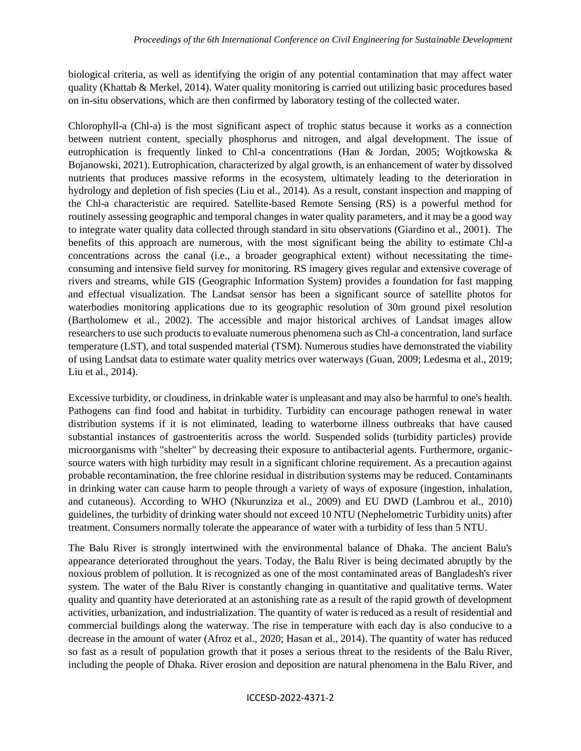biological criteria, as well as identifying the origin of any potential contamination that may affect water quality (Khattab & Merkel, 2014). Water quality monitoring is carried out utilizing basic procedures based on in-situ observations, which are then confirmed by laboratory testing of the collected water.

Chlorophyll-a (Chl-a) is the most significant aspect of trophic status because it works as a connection between nutrient content, specially phosphorus and nitrogen, and algal development. The issue of eutrophication is frequently linked to Chl-a concentrations (Han & Jordan, 2005; Wojtkowska & Bojanowski, 2021). Eutrophication, characterized by algal growth, is an enhancement of water by dissolved nutrients that produces massive reforms in the ecosystem, ultimately leading to the deterioration in hydrology and depletion of fish species (Liu et al., 2014). As a result, constant inspection and mapping of the Chl-a characteristic are required. Satellite-based Remote Sensing (RS) is a powerful method for routinely assessing geographic and temporal changes in water quality parameters, and it may be a good way to integrate water quality data collected through standard in situ observations (Giardino et al., 2001). The benefits of this approach are numerous, with the most significant being the ability to estimate Chl-a concentrations across the canal (i.e., a broader geographical extent) without necessitating the timeconsuming and intensive field survey for monitoring. RS imagery gives regular and extensive coverage of rivers and streams, while GIS (Geographic Information System) provides a foundation for fast mapping and effectual visualization. The Landsat sensor has been a significant source of satellite photos for waterbodies monitoring applications due to its geographic resolution of 30m ground pixel resolution (Bartholomew et al., 2002). The accessible and major historical archives of Landsat images allow researchers to use such products to evaluate numerous phenomena such as Chl-a concentration, land surface temperature (LST), and total suspended material (TSM). Numerous studies have demonstrated the viability of using Landsat data to estimate water quality metrics over waterways (Guan, 2009; Ledesma et al., 2019; Liu et al., 2014).

Excessive turbidity, or cloudiness, in drinkable water is unpleasant and may also be harmful to one's health. Pathogens can find food and habitat in turbidity. Turbidity can encourage pathogen renewal in water distribution systems if it is not eliminated, leading to waterborne illness outbreaks that have caused substantial instances of gastroenteritis across the world. Suspended solids (turbidity particles) provide microorganisms with "shelter" by decreasing their exposure to antibacterial agents. Furthermore, organicsource waters with high turbidity may result in a significant chlorine requirement. As a precaution against probable recontamination, the free chlorine residual in distribution systems may be reduced. Contaminants in drinking water can cause harm to people through a variety of ways of exposure (ingestion, inhalation, and cutaneous). According to WHO (Nkurunziza et al., 2009) and EU DWD (Lambrou et al., 2010) guidelines, the turbidity of drinking water should not exceed 10 NTU (Nephelometric Turbidity units) after treatment. Consumers normally tolerate the appearance of water with a turbidity of less than 5 NTU.

The Balu River is strongly intertwined with the environmental balance of Dhaka. The ancient Balu's appearance deteriorated throughout the years. Today, the Balu River is being decimated abruptly by the noxious problem of pollution. It is recognized as one of the most contaminated areas of Bangladesh's river system. The water of the Balu River is constantly changing in quantitative and qualitative terms. Water quality and quantity have deteriorated at an astonishing rate as a result of the rapid growth of development activities, urbanization, and industrialization. The quantity of water is reduced as a result of residential and commercial buildings along the waterway. The rise in temperature with each day is also conducive to a decrease in the amount of water (Afroz et al., 2020; Hasan et al., 2014). The quantity of water has reduced so fast as a result of population growth that it poses a serious threat to the residents of the Balu River, including the people of Dhaka. River erosion and deposition are natural phenomena in the Balu River, and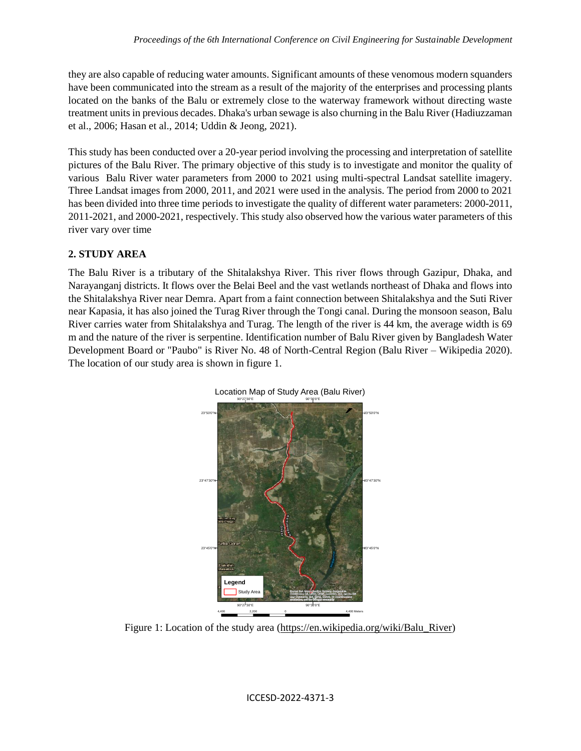they are also capable of reducing water amounts. Significant amounts of these venomous modern squanders have been communicated into the stream as a result of the majority of the enterprises and processing plants located on the banks of the Balu or extremely close to the waterway framework without directing waste treatment units in previous decades. Dhaka's urban sewage is also churning in the Balu River (Hadiuzzaman et al., 2006; Hasan et al., 2014; Uddin & Jeong, 2021).

This study has been conducted over a 20-year period involving the processing and interpretation of satellite pictures of the Balu River. The primary objective of this study is to investigate and monitor the quality of various Balu River water parameters from 2000 to 2021 using multi-spectral Landsat satellite imagery. Three Landsat images from 2000, 2011, and 2021 were used in the analysis. The period from 2000 to 2021 has been divided into three time periods to investigate the quality of different water parameters: 2000-2011, 2011-2021, and 2000-2021, respectively. This study also observed how the various water parameters of this river vary over time

## **2. STUDY AREA**

The Balu River is a tributary of the Shitalakshya River. This river flows through Gazipur, Dhaka, and Narayanganj districts. It flows over the Belai Beel and the vast wetlands northeast of Dhaka and flows into the Shitalakshya River near Demra. Apart from a faint connection between Shitalakshya and the Suti River near Kapasia, it has also joined the Turag River through the Tongi canal. During the monsoon season, Balu River carries water from Shitalakshya and Turag. The length of the river is 44 km, the average width is 69 m and the nature of the river is serpentine. Identification number of Balu River given by Bangladesh Water Development Board or "Paubo" is River No. 48 of North-Central Region (Balu River – Wikipedia 2020). The location of our study area is shown in figure 1.



Figure 1: Location of the study area [\(https://en.wikipedia.org/wiki/Balu\\_River\)](https://en.wikipedia.org/wiki/Balu_River)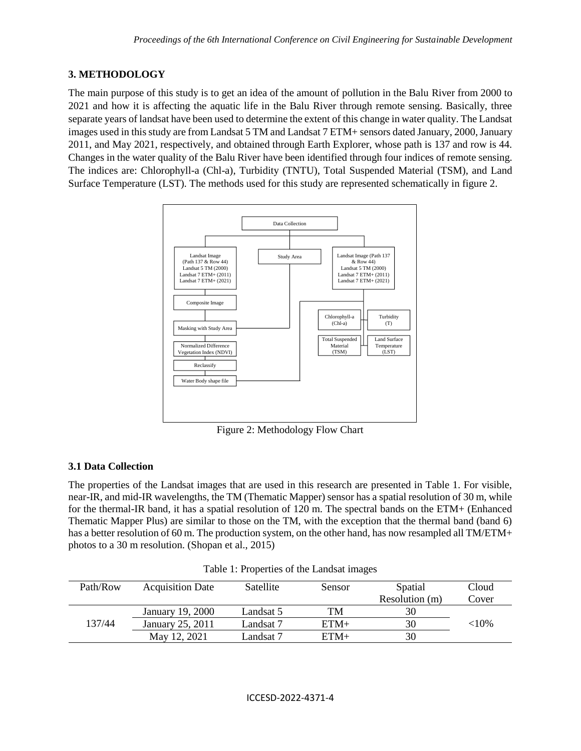## **3. METHODOLOGY**

The main purpose of this study is to get an idea of the amount of pollution in the Balu River from 2000 to 2021 and how it is affecting the aquatic life in the Balu River through remote sensing. Basically, three separate years of landsat have been used to determine the extent of this change in water quality. The Landsat images used in this study are from Landsat 5 TM and Landsat 7 ETM+ sensors dated January, 2000, January 2011, and May 2021, respectively, and obtained through Earth Explorer, whose path is 137 and row is 44. Changes in the water quality of the Balu River have been identified through four indices of remote sensing. The indices are: Chlorophyll-a (Chl-a), Turbidity (TNTU), Total Suspended Material (TSM), and Land Surface Temperature (LST). The methods used for this study are represented schematically in figure 2.



Figure 2: Methodology Flow Chart

# **3.1 Data Collection**

The properties of the Landsat images that are used in this research are presented in Table 1. For visible, near-IR, and mid-IR wavelengths, the TM (Thematic Mapper) sensor has a spatial resolution of 30 m, while for the thermal-IR band, it has a spatial resolution of 120 m. The spectral bands on the ETM+ (Enhanced Thematic Mapper Plus) are similar to those on the TM, with the exception that the thermal band (band 6) has a better resolution of 60 m. The production system, on the other hand, has now resampled all TM/ETM+ photos to a 30 m resolution. (Shopan et al., 2015)

| Path/Row | <b>Acquisition Date</b> | <b>Satellite</b> | Sensor | Spatial        | Cloud     |
|----------|-------------------------|------------------|--------|----------------|-----------|
|          |                         |                  |        | Resolution (m) | Cover     |
|          | January 19, 2000        | Landsat 5        | TM     | 30             |           |
| 137/44   | January 25, 2011        | Landsat 7        | $ETM+$ | 30             | ${<}10\%$ |
|          | May 12, 2021            | Landsat 7        | $ETM+$ | 30             |           |

Table 1: Properties of the Landsat images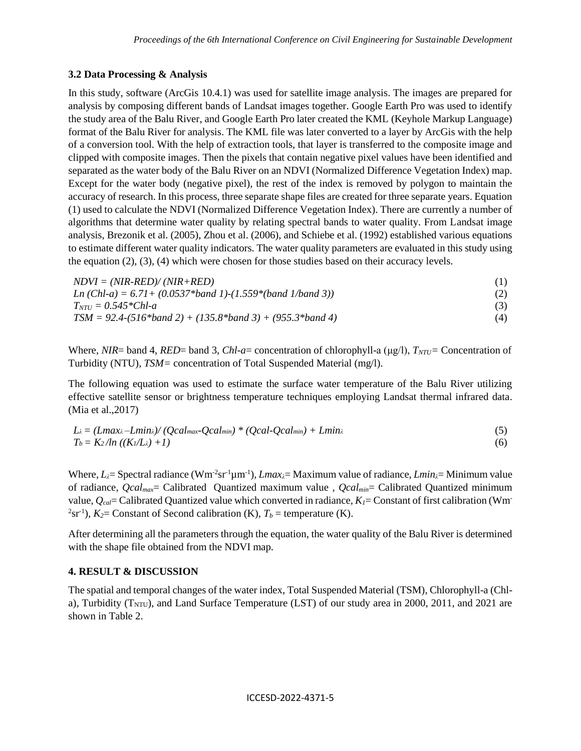#### **3.2 Data Processing & Analysis**

In this study, software (ArcGis 10.4.1) was used for satellite image analysis. The images are prepared for analysis by composing different bands of Landsat images together. Google Earth Pro was used to identify the study area of the Balu River, and Google Earth Pro later created the KML (Keyhole Markup Language) format of the Balu River for analysis. The KML file was later converted to a layer by ArcGis with the help of a conversion tool. With the help of extraction tools, that layer is transferred to the composite image and clipped with composite images. Then the pixels that contain negative pixel values have been identified and separated as the water body of the Balu River on an NDVI (Normalized Difference Vegetation Index) map. Except for the water body (negative pixel), the rest of the index is removed by polygon to maintain the accuracy of research. In this process, three separate shape files are created for three separate years. Equation (1) used to calculate the NDVI (Normalized Difference Vegetation Index). There are currently a number of algorithms that determine water quality by relating spectral bands to water quality. From Landsat image analysis, Brezonik et al. (2005), Zhou et al. (2006), and Schiebe et al. (1992) established various equations to estimate different water quality indicators. The water quality parameters are evaluated in this study using the equation (2), (3), (4) which were chosen for those studies based on their accuracy levels.

 $NDVI = (NIR-RED)/(NIR+RED)$  (1) *Ln (Chl-a) = 6.71+ (0.0537\*band 1)-(1.559\*(band 1/band 3))* (2)  $T_{NTU} = 0.545 * Chl - a$  (3) *TSM = 92.4-(516\*band 2) + (135.8\*band 3) + (955.3\*band 4)* (4)

Where, *NIR*= band 4, *RED*= band 3, *Chl-a*= concentration of chlorophyll-a (μg/l), *TNTU=* Concentration of Turbidity (NTU)*, TSM=* concentration of Total Suspended Material (mg/l).

The following equation was used to estimate the surface water temperature of the Balu River utilizing effective satellite sensor or brightness temperature techniques employing Landsat thermal infrared data. (Mia et al.,2017)

$$
L\lambda = (Lmax\lambda - Lmin\lambda) / (Qcalmax - Qcalmin) * (Qcal-Qcalmin) + Lmin\lambda
$$
  
\n
$$
T_b = K_2 / ln ((K_1/L_\lambda) + 1)
$$
\n(6)

Where,  $L_{\lambda}$  = Spectral radiance (Wm<sup>-2</sup>sr<sup>-1</sup>µm<sup>-1</sup>), *Lmax*<sub> $\lambda$ </sub> = Maximum value of radiance, *Lmin* $\lambda$  = Minimum value of radiance, *Qcalmax*= Calibrated Quantized maximum value , *Qcalmin*= Calibrated Quantized minimum value, *Qcal*= Calibrated Quantized value which converted in radiance, *K1*= Constant of first calibration (Wm-<sup>2</sup>sr<sup>-1</sup>),  $K_2$ = Constant of Second calibration (K),  $T_b$  = temperature (K).

After determining all the parameters through the equation, the water quality of the Balu River is determined with the shape file obtained from the NDVI map.

### **4. RESULT & DISCUSSION**

The spatial and temporal changes of the water index, Total Suspended Material (TSM), Chlorophyll-a (Chla), Turbidity ( $T<sub>NTU</sub>$ ), and Land Surface Temperature (LST) of our study area in 2000, 2011, and 2021 are shown in Table 2.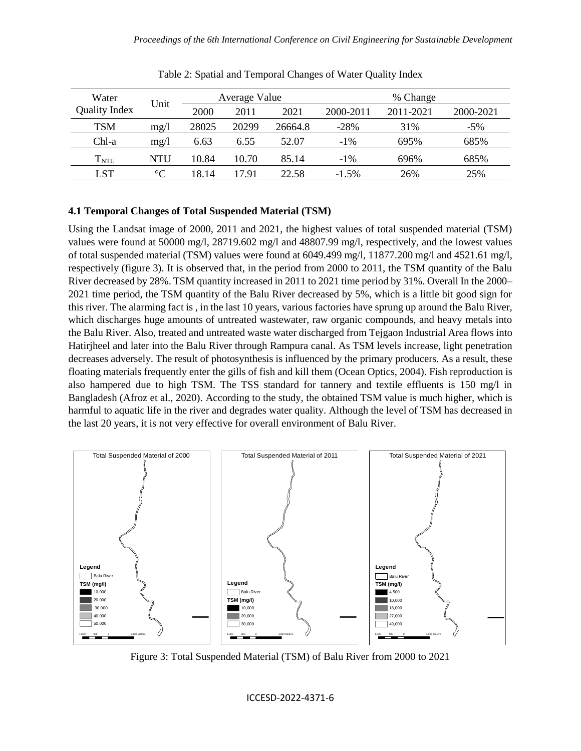| Water<br><b>Quality Index</b> | Unit            | Average Value |       | % Change |           |           |           |
|-------------------------------|-----------------|---------------|-------|----------|-----------|-----------|-----------|
|                               |                 | 2000          | 2011  | 2021     | 2000-2011 | 2011-2021 | 2000-2021 |
| <b>TSM</b>                    | mg/1            | 28025         | 20299 | 26664.8  | $-28%$    | 31%       | $-5%$     |
| Chl-a                         | mg/1            | 6.63          | 6.55  | 52.07    | $-1\%$    | 695%      | 685%      |
| $\rm T_{NTU}$                 | NTU             | 10.84         | 10.70 | 85.14    | $-1\%$    | 696%      | 685%      |
| LST                           | $\rm ^{\circ}C$ | 18.14         | 17.91 | 22.58    | $-1.5\%$  | 26%       | 25%       |

Table 2: Spatial and Temporal Changes of Water Quality Index

#### **4.1 Temporal Changes of Total Suspended Material (TSM)**

Using the Landsat image of 2000, 2011 and 2021, the highest values of total suspended material (TSM) values were found at 50000 mg/l, 28719.602 mg/l and 48807.99 mg/l, respectively, and the lowest values of total suspended material (TSM) values were found at 6049.499 mg/l, 11877.200 mg/l and 4521.61 mg/l, respectively (figure 3). It is observed that, in the period from 2000 to 2011, the TSM quantity of the Balu River decreased by 28%. TSM quantity increased in 2011 to 2021 time period by 31%. Overall In the 2000– 2021 time period, the TSM quantity of the Balu River decreased by 5%, which is a little bit good sign for this river. The alarming fact is , in the last 10 years, various factories have sprung up around the Balu River, which discharges huge amounts of untreated wastewater, raw organic compounds, and heavy metals into the Balu River. Also, treated and untreated waste water discharged from Tejgaon Industrial Area flows into Hatirjheel and later into the Balu River through Rampura canal. As TSM levels increase, light penetration decreases adversely. The result of photosynthesis is influenced by the primary producers. As a result, these floating materials frequently enter the gills of fish and kill them (Ocean Optics, 2004). Fish reproduction is also hampered due to high TSM. The TSS standard for tannery and textile effluents is 150 mg/l in Bangladesh (Afroz et al., 2020). According to the study, the obtained TSM value is much higher, which is harmful to aquatic life in the river and degrades water quality. Although the level of TSM has decreased in the last 20 years, it is not very effective for overall environment of Balu River.



Figure 3: Total Suspended Material (TSM) of Balu River from 2000 to 2021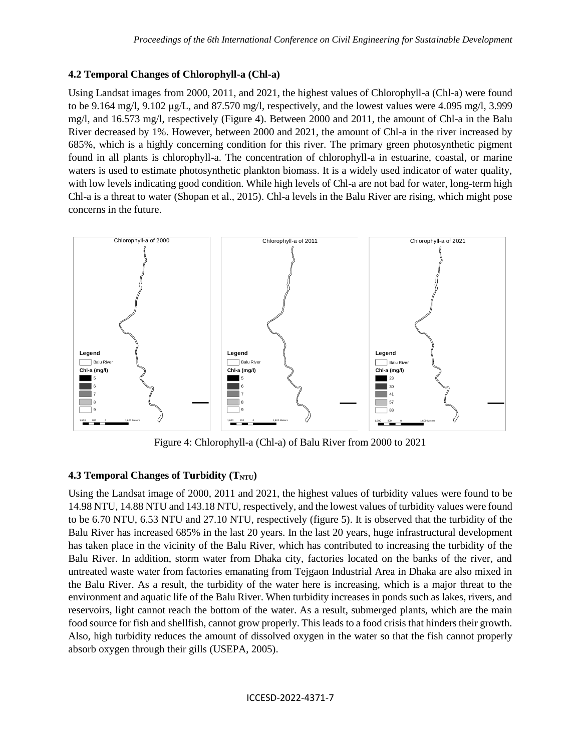## **4.2 Temporal Changes of Chlorophyll-a (Chl-a)**

Using Landsat images from 2000, 2011, and 2021, the highest values of Chlorophyll-a (Chl-a) were found to be 9.164 mg/l, 9.102 μg/L, and 87.570 mg/l, respectively, and the lowest values were 4.095 mg/l, 3.999 mg/l, and 16.573 mg/l, respectively (Figure 4). Between 2000 and 2011, the amount of Chl-a in the Balu River decreased by 1%. However, between 2000 and 2021, the amount of Chl-a in the river increased by 685%, which is a highly concerning condition for this river. The primary green photosynthetic pigment found in all plants is chlorophyll-a. The concentration of chlorophyll-a in estuarine, coastal, or marine waters is used to estimate photosynthetic plankton biomass. It is a widely used indicator of water quality, with low levels indicating good condition. While high levels of Chl-a are not bad for water, long-term high Chl-a is a threat to water (Shopan et al., 2015). Chl-a levels in the Balu River are rising, which might pose concerns in the future.



Figure 4: Chlorophyll-a (Chl-a) of Balu River from 2000 to 2021

# **4.3 Temporal Changes of Turbidity (** $T_{NTU}$ **)**

Using the Landsat image of 2000, 2011 and 2021, the highest values of turbidity values were found to be 14.98 NTU, 14.88 NTU and 143.18 NTU, respectively, and the lowest values of turbidity values were found to be 6.70 NTU, 6.53 NTU and 27.10 NTU, respectively (figure 5). It is observed that the turbidity of the Balu River has increased 685% in the last 20 years. In the last 20 years, huge infrastructural development has taken place in the vicinity of the Balu River, which has contributed to increasing the turbidity of the Balu River. In addition, storm water from Dhaka city, factories located on the banks of the river, and untreated waste water from factories emanating from Tejgaon Industrial Area in Dhaka are also mixed in the Balu River. As a result, the turbidity of the water here is increasing, which is a major threat to the environment and aquatic life of the Balu River. When turbidity increases in ponds such as lakes, rivers, and reservoirs, light cannot reach the bottom of the water. As a result, submerged plants, which are the main food source for fish and shellfish, cannot grow properly. This leads to a food crisis that hinders their growth. Also, high turbidity reduces the amount of dissolved oxygen in the water so that the fish cannot properly absorb oxygen through their gills (USEPA, 2005).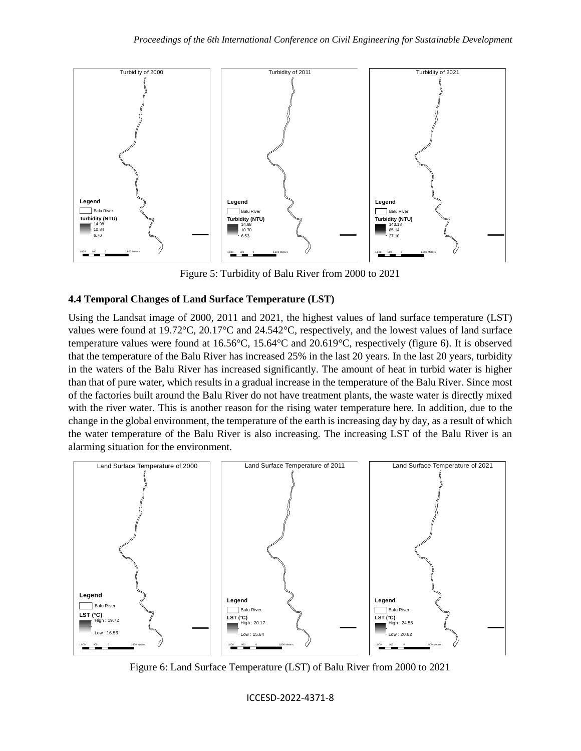

Figure 5: Turbidity of Balu River from 2000 to 2021

## **4.4 Temporal Changes of Land Surface Temperature (LST)**

Using the Landsat image of 2000, 2011 and 2021, the highest values of land surface temperature (LST) values were found at 19.72°C, 20.17°C and 24.542°C, respectively, and the lowest values of land surface temperature values were found at 16.56°C, 15.64°C and 20.619°C, respectively (figure 6). It is observed that the temperature of the Balu River has increased 25% in the last 20 years. In the last 20 years, turbidity in the waters of the Balu River has increased significantly. The amount of heat in turbid water is higher than that of pure water, which results in a gradual increase in the temperature of the Balu River. Since most of the factories built around the Balu River do not have treatment plants, the waste water is directly mixed with the river water. This is another reason for the rising water temperature here. In addition, due to the change in the global environment, the temperature of the earth is increasing day by day, as a result of which the water temperature of the Balu River is also increasing. The increasing LST of the Balu River is an alarming situation for the environment.



Figure 6: Land Surface Temperature (LST) of Balu River from 2000 to 2021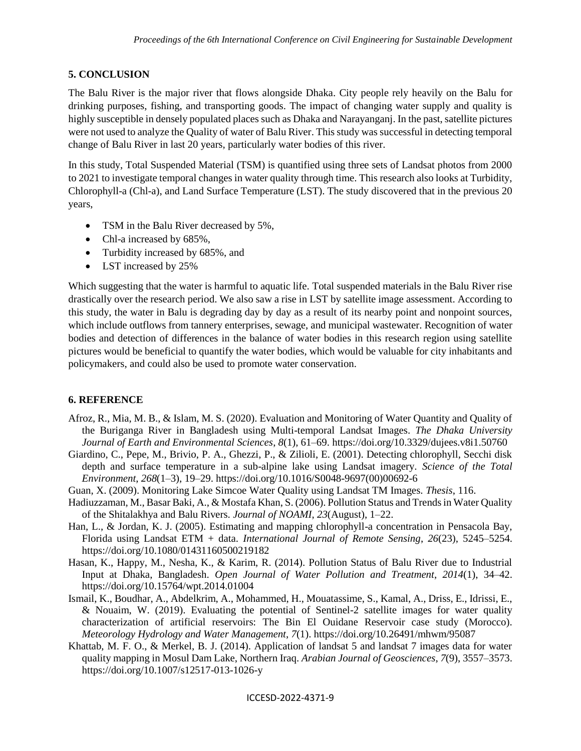## **5. CONCLUSION**

The Balu River is the major river that flows alongside Dhaka. City people rely heavily on the Balu for drinking purposes, fishing, and transporting goods. The impact of changing water supply and quality is highly susceptible in densely populated places such as Dhaka and Narayanganj. In the past, satellite pictures were not used to analyze the Quality of water of Balu River. This study was successful in detecting temporal change of Balu River in last 20 years, particularly water bodies of this river.

In this study, Total Suspended Material (TSM) is quantified using three sets of Landsat photos from 2000 to 2021 to investigate temporal changes in water quality through time. This research also looks at Turbidity, Chlorophyll-a (Chl-a), and Land Surface Temperature (LST). The study discovered that in the previous 20 years,

- TSM in the Balu River decreased by 5%,
- Chl-a increased by 685%,
- Turbidity increased by 685%, and
- LST increased by 25%

Which suggesting that the water is harmful to aquatic life. Total suspended materials in the Balu River rise drastically over the research period. We also saw a rise in LST by satellite image assessment. According to this study, the water in Balu is degrading day by day as a result of its nearby point and nonpoint sources, which include outflows from tannery enterprises, sewage, and municipal wastewater. Recognition of water bodies and detection of differences in the balance of water bodies in this research region using satellite pictures would be beneficial to quantify the water bodies, which would be valuable for city inhabitants and policymakers, and could also be used to promote water conservation.

### **6. REFERENCE**

- Afroz, R., Mia, M. B., & Islam, M. S. (2020). Evaluation and Monitoring of Water Quantity and Quality of the Buriganga River in Bangladesh using Multi-temporal Landsat Images. *The Dhaka University Journal of Earth and Environmental Sciences*, *8*(1), 61–69. https://doi.org/10.3329/dujees.v8i1.50760
- Giardino, C., Pepe, M., Brivio, P. A., Ghezzi, P., & Zilioli, E. (2001). Detecting chlorophyll, Secchi disk depth and surface temperature in a sub-alpine lake using Landsat imagery. *Science of the Total Environment*, *268*(1–3), 19–29. https://doi.org/10.1016/S0048-9697(00)00692-6
- Guan, X. (2009). Monitoring Lake Simcoe Water Quality using Landsat TM Images. *Thesis*, 116.
- Hadiuzzaman, M., Basar Baki, A., & Mostafa Khan, S. (2006). Pollution Status and Trends in Water Quality of the Shitalakhya and Balu Rivers. *Journal of NOAMI*, *23*(August), 1–22.
- Han, L., & Jordan, K. J. (2005). Estimating and mapping chlorophyll-a concentration in Pensacola Bay, Florida using Landsat ETM + data. *International Journal of Remote Sensing*, *26*(23), 5245–5254. https://doi.org/10.1080/01431160500219182
- Hasan, K., Happy, M., Nesha, K., & Karim, R. (2014). Pollution Status of Balu River due to Industrial Input at Dhaka, Bangladesh. *Open Journal of Water Pollution and Treatment*, *2014*(1), 34–42. https://doi.org/10.15764/wpt.2014.01004
- Ismail, K., Boudhar, A., Abdelkrim, A., Mohammed, H., Mouatassime, S., Kamal, A., Driss, E., Idrissi, E., & Nouaim, W. (2019). Evaluating the potential of Sentinel-2 satellite images for water quality characterization of artificial reservoirs: The Bin El Ouidane Reservoir case study (Morocco). *Meteorology Hydrology and Water Management*, *7*(1). https://doi.org/10.26491/mhwm/95087
- Khattab, M. F. O., & Merkel, B. J. (2014). Application of landsat 5 and landsat 7 images data for water quality mapping in Mosul Dam Lake, Northern Iraq. *Arabian Journal of Geosciences*, *7*(9), 3557–3573. https://doi.org/10.1007/s12517-013-1026-y